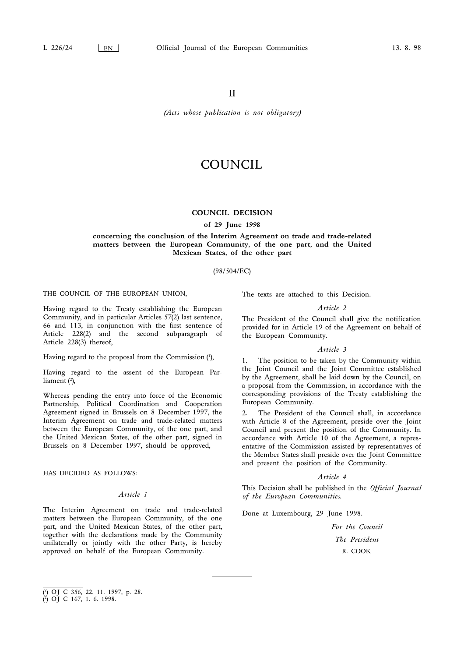# II

(Acts whose publication is not obligatory)

# COUNCIL

### COUNCIL DECISION

of 29 June 1998

concerning the conclusion of the Interim Agreement on trade and trade-related matters between the European Community, of the one part, and the United Mexican States, of the other part

# (98/504/EC)

THE COUNCIL OF THE EUROPEAN UNION,

Having regard to the Treaty establishing the European Community, and in particular Articles 57(2) last sentence, 66 and 113, in conjunction with the first sentence of Article 228(2) and the second subparagraph of Article 228(3) thereof,

Having regard to the proposal from the Commission (1 ),

Having regard to the assent of the European Parliament (2 ),

Whereas pending the entry into force of the Economic Partnership, Political Coordination and Cooperation Agreement signed in Brussels on 8 December 1997, the Interim Agreement on trade and trade-related matters between the European Community, of the one part, and the United Mexican States, of the other part, signed in Brussels on 8 December 1997, should be approved,

HAS DECIDED AS FOLLOWS:

### Article 1

The Interim Agreement on trade and trade-related matters between the European Community, of the one part, and the United Mexican States, of the other part, together with the declarations made by the Community unilaterally or jointly with the other Party, is hereby approved on behalf of the European Community.

The texts are attached to this Decision.

#### Article 2

The President of the Council shall give the notification provided for in Article 19 of the Agreement on behalf of the European Community.

#### Article 3

1. The position to be taken by the Community within the Joint Council and the Joint Committee established by the Agreement, shall be laid down by the Council, on a proposal from the Commission, in accordance with the corresponding provisions of the Treaty establishing the European Community.

2. The President of the Council shall, in accordance with Article 8 of the Agreement, preside over the Joint Council and present the position of the Community. In accordance with Article 10 of the Agreement, a representative of the Commission assisted by representatives of the Member States shall preside over the Joint Committee and present the position of the Community.

#### Article 4

This Decision shall be published in the *Official Journal* of the European Communities.

Done at Luxembourg, 29 June 1998.

For the Council The President R. COOK

<sup>(</sup> 1 ) OJ C 356, 22. 11. 1997, p. 28.

<sup>(</sup> 2 ) OJ C 167, 1. 6. 1998.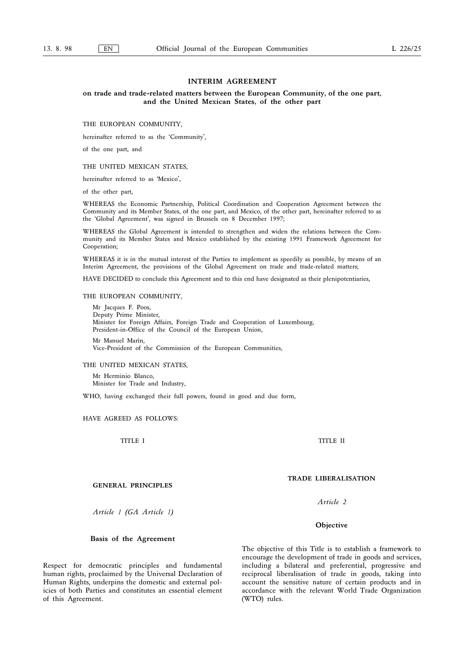# INTERIM AGREEMENT

#### on trade and trade-related matters between the European Community, of the one part, and the United Mexican States, of the other part

THE EUROPEAN COMMUNITY,

hereinafter referred to as the 'Community',

of the one part, and

# THE UNITED MEXICAN STATES,

hereinafter referred to as 'Mexico',

of the other part,

WHEREAS the Economic Partnership, Political Coordination and Cooperation Agreement between the Community and its Member States, of the one part, and Mexico, of the other part, hereinafter referred to as the 'Global Agreement', was signed in Brussels on 8 December 1997;

WHEREAS the Global Agreement is intended to strengthen and widen the relations between the Community and its Member States and Mexico established by the existing 1991 Framework Agreement for Cooperation;

WHEREAS it is in the mutual interest of the Parties to implement as speedily as possible, by means of an Interim Agreement, the provisions of the Global Agreement on trade and trade-related matters;

HAVE DECIDED to conclude this Agreement and to this end have designated as their plenipotentiaries,

#### THE EUROPEAN COMMUNITY,

Mr Jacques F. Poos, Deputy Prime Minister, Minister for Foreign Affairs, Foreign Trade and Cooperation of Luxembourg, President-in-Office of the Council of the European Union, Mr Manuel Marín,

Vice-President of the Commission of the European Communities,

#### THE UNITED MEXICAN STATES,

Mr Herminio Blanco, Minister for Trade and Industry,

WHO, having exchanged their full powers, found in good and due form,

#### HAVE AGREED AS FOLLOWS:

TITLE I

#### GENERAL PRINCIPLES

Article 1 (GA Article 1)

#### Basis of the Agreement

Respect for democratic principles and fundamental human rights, proclaimed by the Universal Declaration of Human Rights, underpins the domestic and external policies of both Parties and constitutes an essential element of this Agreement.

The objective of this Title is to establish a framework to encourage the development of trade in goods and services, including a bilateral and preferential, progressive and reciprocal liberalisation of trade in goods, taking into account the sensitive nature of certain products and in accordance with the relevant World Trade Organization (WTO) rules.

TITLE II

# TRADE LIBERALISATION

Article 2

**Objective**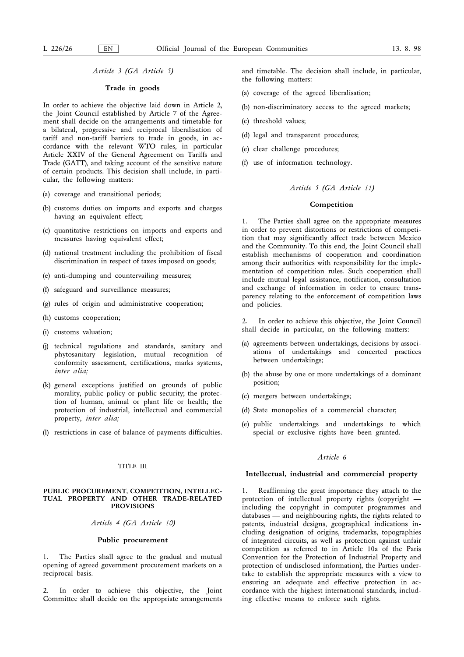# Article 3 (GA Article 5)

#### Trade in goods

In order to achieve the objective laid down in Article 2, the Joint Council established by Article 7 of the Agreement shall decide on the arrangements and timetable for a bilateral, progressive and reciprocal liberalisation of tariff and non-tariff barriers to trade in goods, in accordance with the relevant WTO rules, in particular Article XXIV of the General Agreement on Tariffs and Trade (GATT), and taking account of the sensitive nature of certain products. This decision shall include, in particular, the following matters:

- (a) coverage and transitional periods;
- (b) customs duties on imports and exports and charges having an equivalent effect;
- (c) quantitative restrictions on imports and exports and measures having equivalent effect;
- (d) national treatment including the prohibition of fiscal discrimination in respect of taxes imposed on goods;
- (e) anti-dumping and countervailing measures;
- (f) safeguard and surveillance measures;
- (g) rules of origin and administrative cooperation;
- (h) customs cooperation;
- (i) customs valuation;
- (j) technical regulations and standards, sanitary and phytosanitary legislation, mutual recognition of conformity assessment, certifications, marks systems, inter alia;
- (k) general exceptions justified on grounds of public morality, public policy or public security; the protection of human, animal or plant life or health; the protection of industrial, intellectual and commercial property, inter alia;
- (l) restrictions in case of balance of payments difficulties.

### TITLE III

#### PUBLIC PROCUREMENT, COMPETITION, INTELLEC-TUAL PROPERTY AND OTHER TRADE-RELATED PROVISIONS

#### Article 4 (GA Article 10)

# Public procurement

1. The Parties shall agree to the gradual and mutual opening of agreed government procurement markets on a reciprocal basis.

In order to achieve this objective, the Joint Committee shall decide on the appropriate arrangements and timetable. The decision shall include, in particular, the following matters:

- (a) coverage of the agreed liberalisation;
- (b) non-discriminatory access to the agreed markets;
- (c) threshold values;
- (d) legal and transparent procedures;
- (e) clear challenge procedures;
- (f) use of information technology.

#### Article 5 (GA Article 11)

#### Competition

1. The Parties shall agree on the appropriate measures in order to prevent distortions or restrictions of competition that may significantly affect trade between Mexico and the Community. To this end, the Joint Council shall establish mechanisms of cooperation and coordination among their authorities with responsibility for the implementation of competition rules. Such cooperation shall include mutual legal assistance, notification, consultation and exchange of information in order to ensure transparency relating to the enforcement of competition laws and policies.

2. In order to achieve this objective, the Joint Council shall decide in particular, on the following matters:

- (a) agreements between undertakings, decisions by associations of undertakings and concerted practices between undertakings;
- (b) the abuse by one or more undertakings of a dominant position;
- (c) mergers between undertakings;
- (d) State monopolies of a commercial character;
- (e) public undertakings and undertakings to which special or exclusive rights have been granted.

# Article 6

#### Intellectual, industrial and commercial property

1. Reaffirming the great importance they attach to the protection of intellectual property rights (copyright including the copyright in computer programmes and databases — and neighbouring rights, the rights related to patents, industrial designs, geographical indications including designation of origins, trademarks, topographies of integrated circuits, as well as protection against unfair competition as referred to in Article 10a of the Paris Convention for the Protection of Industrial Property and protection of undisclosed information), the Parties undertake to establish the appropriate measures with a view to ensuring an adequate and effective protection in accordance with the highest international standards, including effective means to enforce such rights.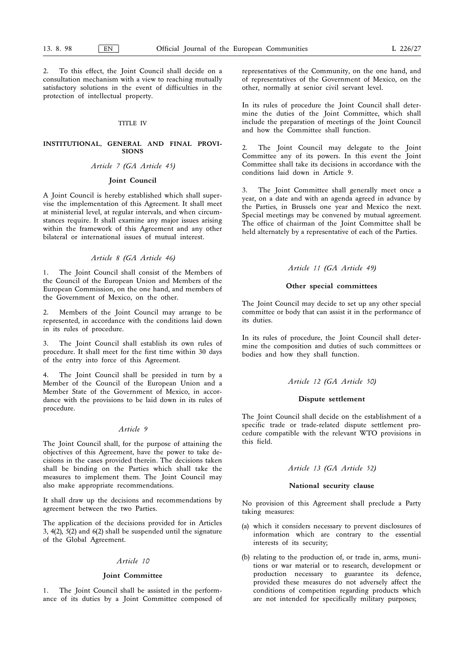2. To this effect, the Joint Council shall decide on a consultation mechanism with a view to reaching mutually satisfactory solutions in the event of difficulties in the protection of intellectual property.

#### TITLE IV

#### INSTITUTIONAL, GENERAL AND FINAL PROVI-SIONS

# Article 7 (GA Article 45)

# Joint Council

A Joint Council is hereby established which shall supervise the implementation of this Agreement. It shall meet at ministerial level, at regular intervals, and when circumstances require. It shall examine any major issues arising within the framework of this Agreement and any other bilateral or international issues of mutual interest.

### Article 8 (GA Article 46)

1. The Joint Council shall consist of the Members of the Council of the European Union and Members of the European Commission, on the one hand, and members of the Government of Mexico, on the other.

2. Members of the Joint Council may arrange to be represented, in accordance with the conditions laid down in its rules of procedure.

The Joint Council shall establish its own rules of procedure. It shall meet for the first time within 30 days of the entry into force of this Agreement.

The Joint Council shall be presided in turn by a Member of the Council of the European Union and a Member State of the Government of Mexico, in accordance with the provisions to be laid down in its rules of procedure.

#### Article 9

The Joint Council shall, for the purpose of attaining the objectives of this Agreement, have the power to take decisions in the cases provided therein. The decisions taken shall be binding on the Parties which shall take the measures to implement them. The Joint Council may also make appropriate recommendations.

It shall draw up the decisions and recommendations by agreement between the two Parties.

The application of the decisions provided for in Articles 3, 4(2), 5(2) and 6(2) shall be suspended until the signature of the Global Agreement.

# Article 10

#### Joint Committee

1. The Joint Council shall be assisted in the performance of its duties by a Joint Committee composed of representatives of the Community, on the one hand, and of representatives of the Government of Mexico, on the other, normally at senior civil servant level.

In its rules of procedure the Joint Council shall determine the duties of the Joint Committee, which shall include the preparation of meetings of the Joint Council and how the Committee shall function.

2. The Joint Council may delegate to the Joint Committee any of its powers. In this event the Joint Committee shall take its decisions in accordance with the conditions laid down in Article 9.

3. The Joint Committee shall generally meet once a year, on a date and with an agenda agreed in advance by the Parties, in Brussels one year and Mexico the next. Special meetings may be convened by mutual agreement. The office of chairman of the Joint Committee shall be held alternately by a representative of each of the Parties.

# Article 11 (GA Article 49)

#### Other special committees

The Joint Council may decide to set up any other special committee or body that can assist it in the performance of its duties.

In its rules of procedure, the Joint Council shall determine the composition and duties of such committees or bodies and how they shall function.

# Article 12 (GA Article 50)

#### Dispute settlement

The Joint Council shall decide on the establishment of a specific trade or trade-related dispute settlement procedure compatible with the relevant WTO provisions in this field.

#### Article 13 (GA Article 52)

#### National security clause

No provision of this Agreement shall preclude a Party taking measures:

- (a) which it considers necessary to prevent disclosures of information which are contrary to the essential interests of its security;
- (b) relating to the production of, or trade in, arms, munitions or war material or to research, development or production necessary to guarantee its defence, provided these measures do not adversely affect the conditions of competition regarding products which are not intended for specifically military purposes;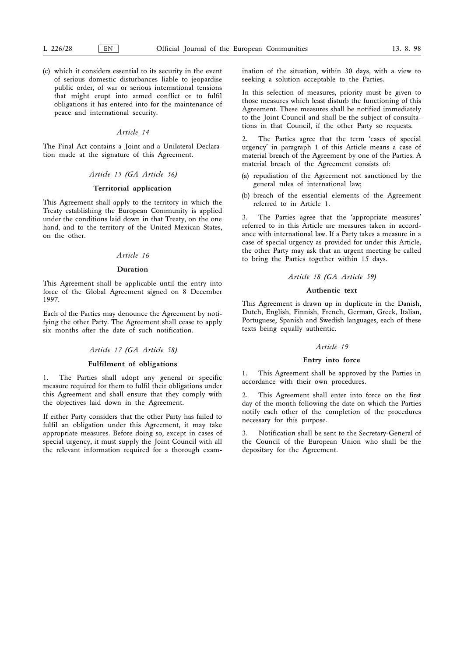(c) which it considers essential to its security in the event of serious domestic disturbances liable to jeopardise public order, of war or serious international tensions that might erupt into armed conflict or to fulfil obligations it has entered into for the maintenance of peace and international security.

# Article 14

The Final Act contains a Joint and a Unilateral Declaration made at the signature of this Agreement.

#### Article 15 (GA Article 56)

# Territorial application

This Agreement shall apply to the territory in which the Treaty establishing the European Community is applied under the conditions laid down in that Treaty, on the one hand, and to the territory of the United Mexican States, on the other.

# Article 16

### Duration

This Agreement shall be applicable until the entry into force of the Global Agreement signed on 8 December 1997.

Each of the Parties may denounce the Agreement by notifying the other Party. The Agreement shall cease to apply six months after the date of such notification.

#### Article 17 (GA Article 58)

#### Fulfilment of obligations

1. The Parties shall adopt any general or specific measure required for them to fulfil their obligations under this Agreement and shall ensure that they comply with the objectives laid down in the Agreement.

If either Party considers that the other Party has failed to fulfil an obligation under this Agreement, it may take appropriate measures. Before doing so, except in cases of special urgency, it must supply the Joint Council with all the relevant information required for a thorough examination of the situation, within 30 days, with a view to seeking a solution acceptable to the Parties.

In this selection of measures, priority must be given to those measures which least disturb the functioning of this Agreement. These measures shall be notified immediately to the Joint Council and shall be the subject of consultations in that Council, if the other Party so requests.

The Parties agree that the term 'cases of special urgency' in paragraph 1 of this Article means a case of material breach of the Agreement by one of the Parties. A material breach of the Agreement consists of:

- (a) repudiation of the Agreement not sanctioned by the general rules of international law;
- (b) breach of the essential elements of the Agreement referred to in Article 1.

3. The Parties agree that the 'appropriate measures' referred to in this Article are measures taken in accordance with international law. If a Party takes a measure in a case of special urgency as provided for under this Article, the other Party may ask that an urgent meeting be called to bring the Parties together within 15 days.

# Article 18 (GA Article 59)

# Authentic text

This Agreement is drawn up in duplicate in the Danish, Dutch, English, Finnish, French, German, Greek, Italian, Portuguese, Spanish and Swedish languages, each of these texts being equally authentic.

### Article 19

#### Entry into force

1. This Agreement shall be approved by the Parties in accordance with their own procedures.

2. This Agreement shall enter into force on the first day of the month following the date on which the Parties notify each other of the completion of the procedures necessary for this purpose.

3. Notification shall be sent to the Secretary-General of the Council of the European Union who shall be the depositary for the Agreement.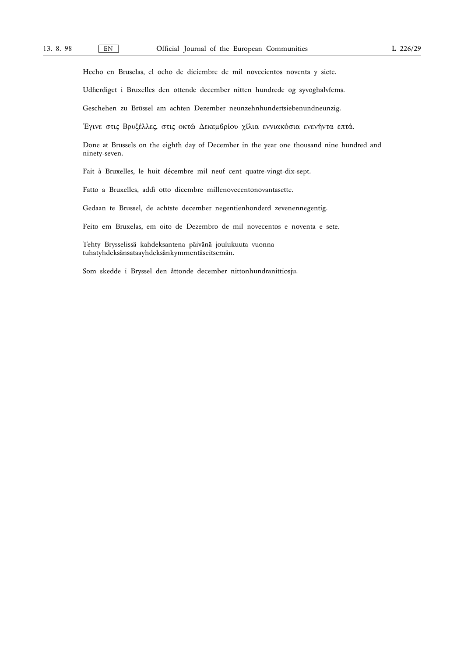Hecho en Bruselas, el ocho de diciembre de mil novecientos noventa y siete.

Udfærdiget i Bruxelles den ottende december nitten hundrede og syvoghalvfems.

Geschehen zu Brüssel am achten Dezember neunzehnhundertsiebenundneunzig.

Έγινε στις Βρυξέλλες, στις οκτώ Δεκεμβρίου χίλια εννιακόσια ενενήντα επτά.

Done at Brussels on the eighth day of December in the year one thousand nine hundred and ninety-seven.

Fait à Bruxelles, le huit décembre mil neuf cent quatre-vingt-dix-sept.

Fatto a Bruxelles, addì otto dicembre millenovecentonovantasette.

Gedaan te Brussel, de achtste december negentienhonderd zevenennegentig.

Feito em Bruxelas, em oito de Dezembro de mil novecentos e noventa e sete.

Tehty Brysselissä kahdeksantena päivänä joulukuuta vuonna tuhatyhdeksänsataayhdeksänkymmentäseitsemän.

Som skedde i Bryssel den åttonde december nittonhundranittiosju.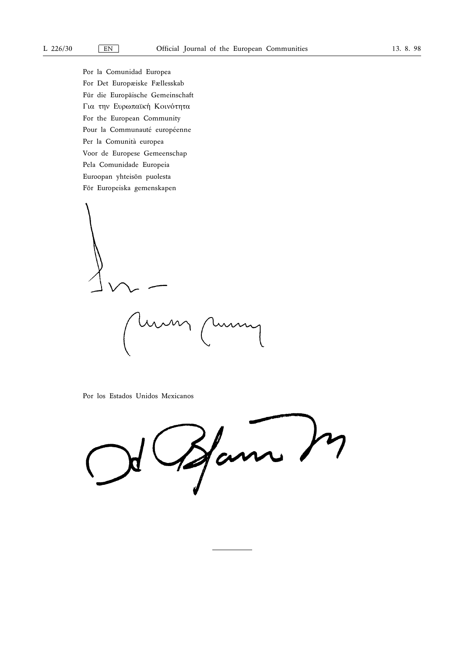Por la Comunidad Europea For Det Europæiske Fællesskab Für die Europäische Gemeinschaft Για την Ευρωπαϊκή Κοινότητα For the European Community Pour la Communauté européenne Per la Comunità europea Voor de Europese Gemeenschap Pela Comunidade Europeia Euroopan yhteisön puolesta För Europeiska gemenskapen

Unin

Por los Estados Unidos Mexicanos

Ham In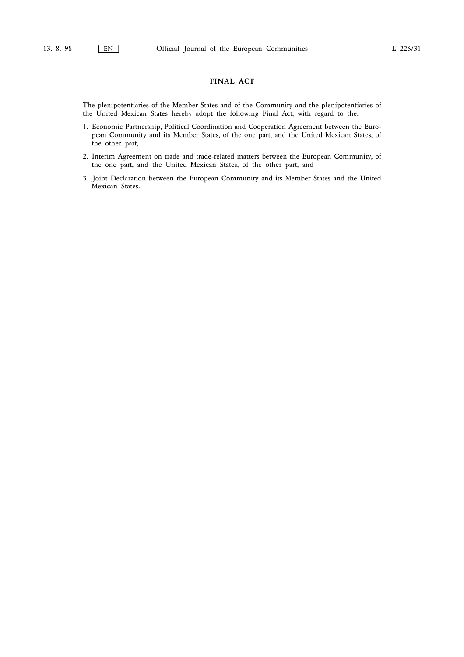# FINAL ACT

The plenipotentiaries of the Member States and of the Community and the plenipotentiaries of the United Mexican States hereby adopt the following Final Act, with regard to the:

- 1. Economic Partnership, Political Coordination and Cooperation Agreement between the European Community and its Member States, of the one part, and the United Mexican States, of the other part,
- 2. Interim Agreement on trade and trade-related matters between the European Community, of the one part, and the United Mexican States, of the other part, and
- 3. Joint Declaration between the European Community and its Member States and the United Mexican States.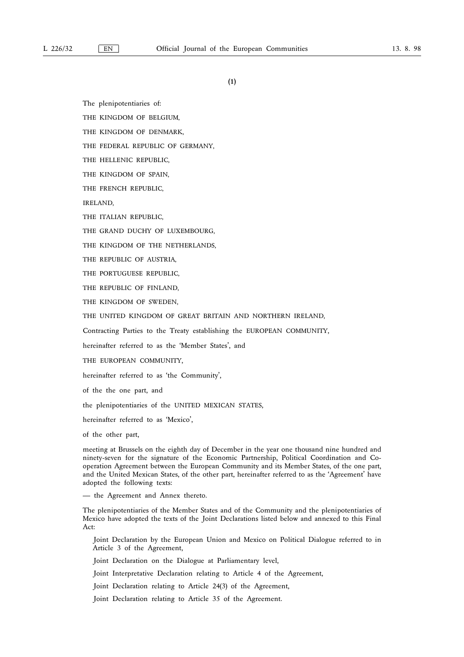(1)

The plenipotentiaries of:

THE KINGDOM OF BELGIUM,

THE KINGDOM OF DENMARK,

THE FEDERAL REPUBLIC OF GERMANY,

THE HELLENIC REPUBLIC,

THE KINGDOM OF SPAIN,

THE FRENCH REPUBLIC,

IRELAND,

THE ITALIAN REPUBLIC,

THE GRAND DUCHY OF LUXEMBOURG,

THE KINGDOM OF THE NETHERLANDS,

THE REPUBLIC OF AUSTRIA,

THE PORTUGUESE REPUBLIC,

THE REPUBLIC OF FINLAND,

THE KINGDOM OF SWEDEN,

THE UNITED KINGDOM OF GREAT BRITAIN AND NORTHERN IRELAND,

Contracting Parties to the Treaty establishing the EUROPEAN COMMUNITY,

hereinafter referred to as the 'Member States', and

THE EUROPEAN COMMUNITY,

hereinafter referred to as 'the Community',

of the the one part, and

the plenipotentiaries of the UNITED MEXICAN STATES,

hereinafter referred to as 'Mexico',

of the other part,

meeting at Brussels on the eighth day of December in the year one thousand nine hundred and ninety-seven for the signature of the Economic Partnership, Political Coordination and Cooperation Agreement between the European Community and its Member States, of the one part, and the United Mexican States, of the other part, hereinafter referred to as the 'Agreement' have adopted the following texts:

— the Agreement and Annex thereto.

The plenipotentiaries of the Member States and of the Community and the plenipotentiaries of Mexico have adopted the texts of the Joint Declarations listed below and annexed to this Final Act:

Joint Declaration by the European Union and Mexico on Political Dialogue referred to in Article 3 of the Agreement,

Joint Declaration on the Dialogue at Parliamentary level,

Joint Interpretative Declaration relating to Article 4 of the Agreement,

Joint Declaration relating to Article 24(3) of the Agreement,

Joint Declaration relating to Article 35 of the Agreement.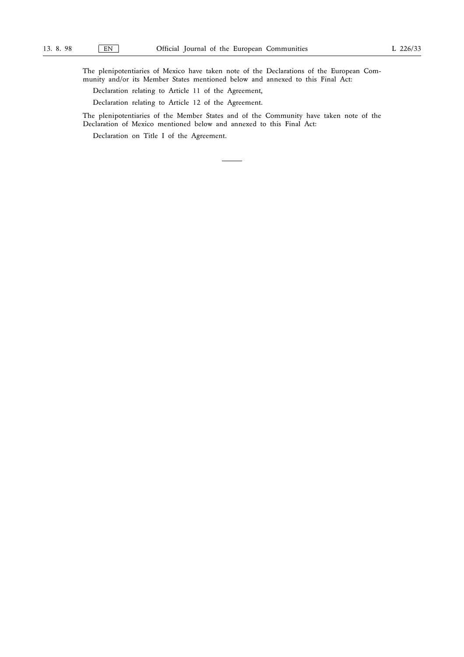The plenipotentiaries of Mexico have taken note of the Declarations of the European Community and/or its Member States mentioned below and annexed to this Final Act:

- Declaration relating to Article 11 of the Agreement,
- Declaration relating to Article 12 of the Agreement.

The plenipotentiaries of the Member States and of the Community have taken note of the Declaration of Mexico mentioned below and annexed to this Final Act:

Declaration on Title I of the Agreement.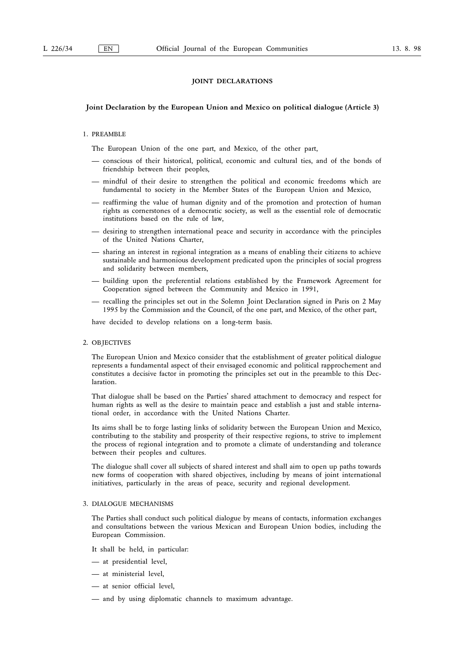# JOINT DECLARATIONS

# Joint Declaration by the European Union and Mexico on political dialogue (Article 3)

#### 1. PREAMBLE

The European Union of the one part, and Mexico, of the other part,

- conscious of their historical, political, economic and cultural ties, and of the bonds of friendship between their peoples,
- mindful of their desire to strengthen the political and economic freedoms which are fundamental to society in the Member States of the European Union and Mexico,
- reaffirming the value of human dignity and of the promotion and protection of human rights as cornerstones of a democratic society, as well as the essential role of democratic institutions based on the rule of law,
- desiring to strengthen international peace and security in accordance with the principles of the United Nations Charter,
- sharing an interest in regional integration as a means of enabling their citizens to achieve sustainable and harmonious development predicated upon the principles of social progress and solidarity between members,
- building upon the preferential relations established by the Framework Agreement for Cooperation signed between the Community and Mexico in 1991,
- recalling the principles set out in the Solemn Joint Declaration signed in Paris on 2 May 1995 by the Commission and the Council, of the one part, and Mexico, of the other part,

have decided to develop relations on a long-term basis.

#### 2. OBJECTIVES

The European Union and Mexico consider that the establishment of greater political dialogue represents a fundamental aspect of their envisaged economic and political rapprochement and constitutes a decisive factor in promoting the principles set out in the preamble to this Declaration.

That dialogue shall be based on the Parties' shared attachment to democracy and respect for human rights as well as the desire to maintain peace and establish a just and stable international order, in accordance with the United Nations Charter.

Its aims shall be to forge lasting links of solidarity between the European Union and Mexico, contributing to the stability and prosperity of their respective regions, to strive to implement the process of regional integration and to promote a climate of understanding and tolerance between their peoples and cultures.

The dialogue shall cover all subjects of shared interest and shall aim to open up paths towards new forms of cooperation with shared objectives, including by means of joint international initiatives, particularly in the areas of peace, security and regional development.

#### 3. DIALOGUE MECHANISMS

The Parties shall conduct such political dialogue by means of contacts, information exchanges and consultations between the various Mexican and European Union bodies, including the European Commission.

It shall be held, in particular:

- at presidential level,
- at ministerial level,
- at senior official level,
- and by using diplomatic channels to maximum advantage.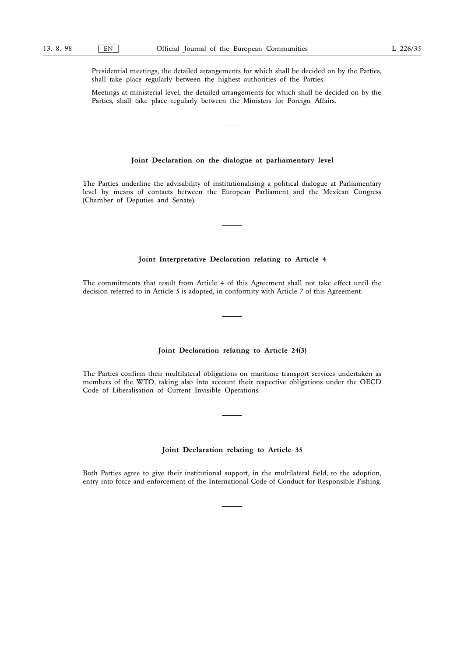Presidential meetings, the detailed arrangements for which shall be decided on by the Parties, shall take place regularly between the highest authorities of the Parties.

Meetings at ministerial level, the detailed arrangements for which shall be decided on by the Parties, shall take place regularly between the Ministers for Foreign Affairs.

# Joint Declaration on the dialogue at parliamentary level

The Parties underline the advisability of institutionalising a political dialogue at Parliamentary level by means of contacts between the European Parliament and the Mexican Congress (Chamber of Deputies and Senate).

# Joint Interpretative Declaration relating to Article 4

The commitments that result from Article 4 of this Agreement shall not take effect until the decision referred to in Article 5 is adopted, in conformity with Article 7 of this Agreement.

# Joint Declaration relating to Article 24(3)

The Parties confirm their multilateral obligations on maritime transport services undertaken as members of the WTO, taking also into account their respective obligations under the OECD Code of Liberalisation of Current Invisible Operations.

# Joint Declaration relating to Article 35

Both Parties agree to give their institutional support, in the multilateral field, to the adoption, entry into force and enforcement of the International Code of Conduct for Responsible Fishing.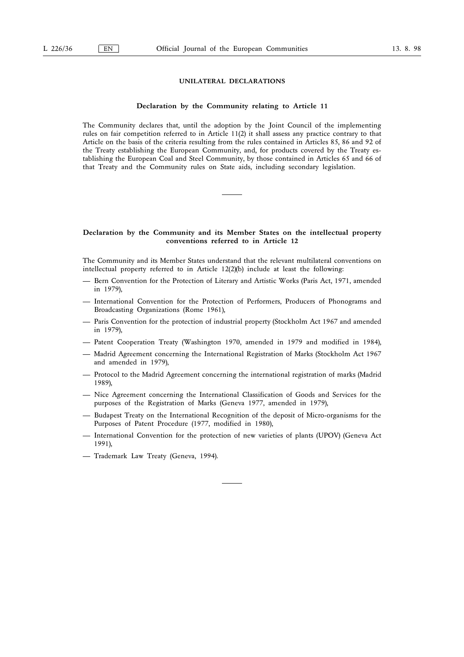# UNILATERAL DECLARATIONS

# Declaration by the Community relating to Article 11

The Community declares that, until the adoption by the Joint Council of the implementing rules on fair competition referred to in Article 11(2) it shall assess any practice contrary to that Article on the basis of the criteria resulting from the rules contained in Articles 85, 86 and 92 of the Treaty establishing the European Community, and, for products covered by the Treaty establishing the European Coal and Steel Community, by those contained in Articles 65 and 66 of that Treaty and the Community rules on State aids, including secondary legislation.

### Declaration by the Community and its Member States on the intellectual property conventions referred to in Article 12

The Community and its Member States understand that the relevant multilateral conventions on intellectual property referred to in Article 12(2)(b) include at least the following:

- Bern Convention for the Protection of Literary and Artistic Works (Paris Act, 1971, amended in 1979),
- International Convention for the Protection of Performers, Producers of Phonograms and Broadcasting Organizations (Rome 1961),
- Paris Convention for the protection of industrial property (Stockholm Act 1967 and amended in 1979),
- Patent Cooperation Treaty (Washington 1970, amended in 1979 and modified in 1984),
- Madrid Agreement concerning the International Registration of Marks (Stockholm Act 1967 and amended in 1979),
- Protocol to the Madrid Agreement concerning the international registration of marks (Madrid 1989),
- Nice Agreement concerning the International Classification of Goods and Services for the purposes of the Registration of Marks (Geneva 1977, amended in 1979),
- Budapest Treaty on the International Recognition of the deposit of Micro-organisms for the Purposes of Patent Procedure (1977, modified in 1980),
- International Convention for the protection of new varieties of plants (UPOV) (Geneva Act 1991),
- Trademark Law Treaty (Geneva, 1994).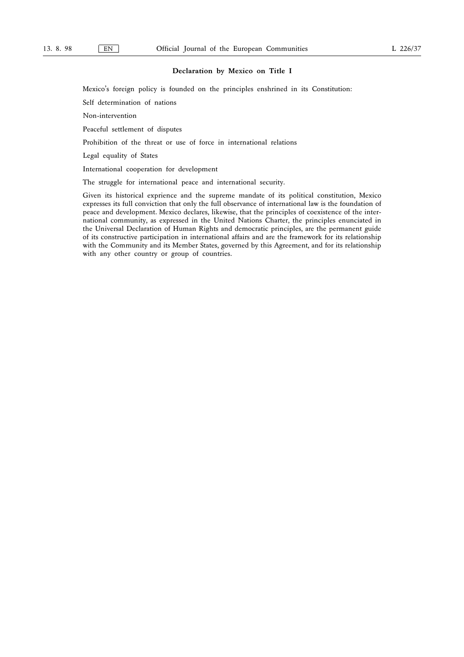Mexico's foreign policy is founded on the principles enshrined in its Constitution:

Self determination of nations

Non-intervention

Peaceful settlement of disputes

Prohibition of the threat or use of force in international relations

Legal equality of States

International cooperation for development

The struggle for international peace and international security.

Given its historical exprience and the supreme mandate of its political constitution, Mexico expresses its full conviction that only the full observance of international law is the foundation of peace and development. Mexico declares, likewise, that the principles of coexistence of the international community, as expressed in the United Nations Charter, the principles enunciated in the Universal Declaration of Human Rights and democratic principles, are the permanent guide of its constructive participation in international affairs and are the framework for its relationship with the Community and its Member States, governed by this Agreement, and for its relationship with any other country or group of countries.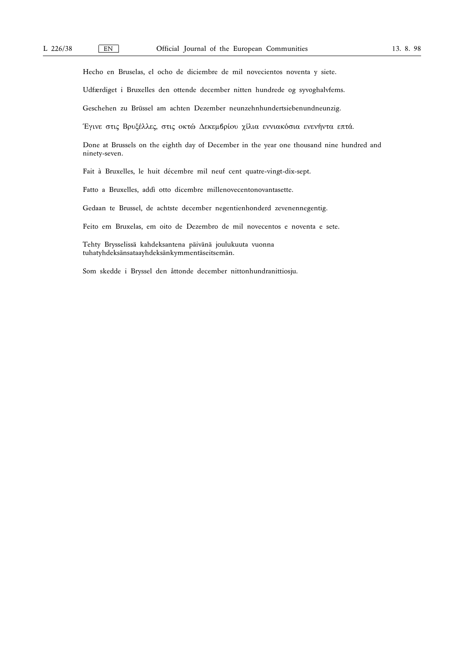Hecho en Bruselas, el ocho de diciembre de mil novecientos noventa y siete.

Udfærdiget i Bruxelles den ottende december nitten hundrede og syvoghalvfems.

Geschehen zu Brüssel am achten Dezember neunzehnhundertsiebenundneunzig.

Έγινε στις Βρυξέλλες, στις οκτώ Δεκεμβρίου χίλια εννιακόσια ενενήντα επτά.

Done at Brussels on the eighth day of December in the year one thousand nine hundred and ninety-seven.

Fait à Bruxelles, le huit décembre mil neuf cent quatre-vingt-dix-sept.

Fatto a Bruxelles, addì otto dicembre millenovecentonovantasette.

Gedaan te Brussel, de achtste december negentienhonderd zevenennegentig.

Feito em Bruxelas, em oito de Dezembro de mil novecentos e noventa e sete.

Tehty Brysselissä kahdeksantena päivänä joulukuuta vuonna tuhatyhdeksänsataayhdeksänkymmentäseitsemän.

Som skedde i Bryssel den åttonde december nittonhundranittiosju.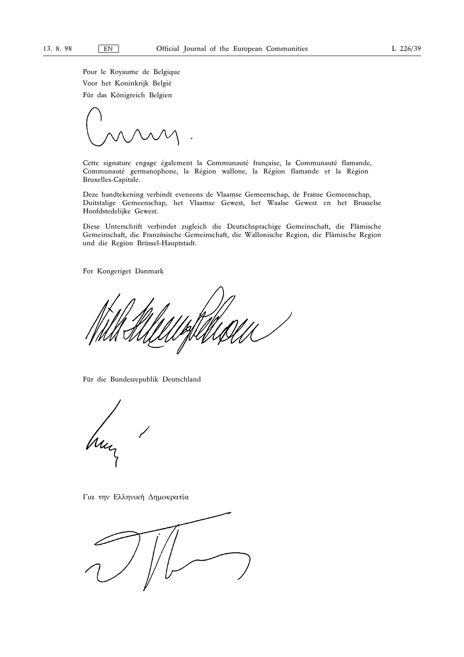Pour le Royaume de Belgique Voor het Koninkrijk België Für das Königreich Belgien

Cette signature engage également la Communauté française, la Communauté flamande, Communauté germanophone, la Région wallone, la Région flamande et la Région Bruxelles-Capitale.

Deze handtekening verbindt eveneens de Vlaamse Gemeenschap, de Franse Gemeenschap, Duitstalige Gemeenschap, het Vlaamse Gewest, het Waalse Gewest en het Brusselse Hoofdstedelijke Gewest.

Diese Unterschrift verbindet zugleich die Deutschsprachige Gemeinschaft, die Flämische Gemeinschaft, die Französische Gemeinschaft, die Wallonische Region, die Flämische Region und die Region Brüssel-Hauptstadt.

For Kongeriget Danmark

Für die Bundesrepublik Deutschland

Για την Ελληνική Δημοκρατία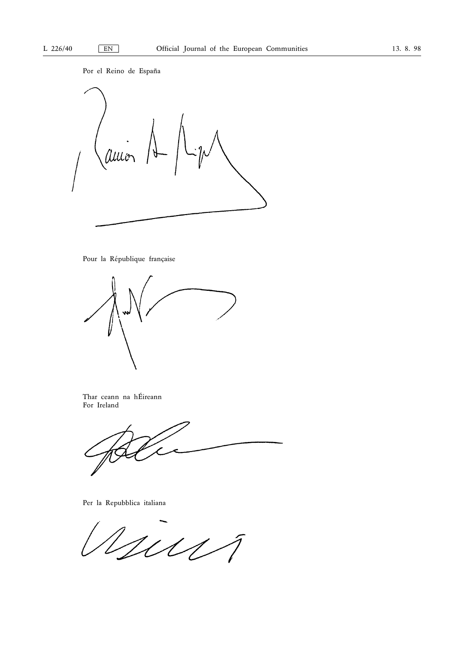Por el Reino de España



# Pour la République française



Thar ceann na hÉireann For Ireland

Per la Repubblica italiana

11111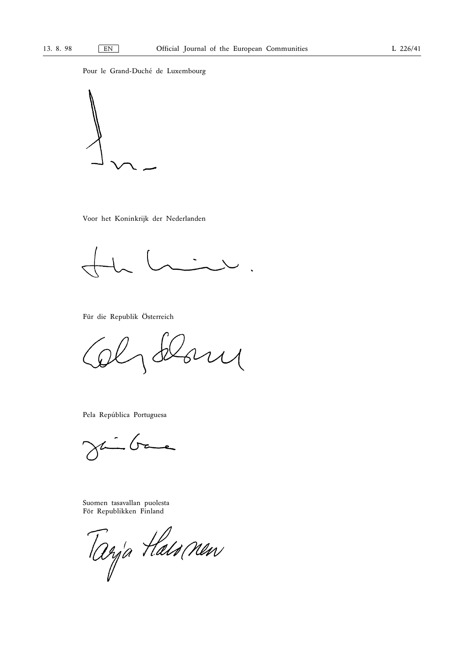Pour le Grand-Duché de Luxembourg



Voor het Koninkrijk der Nederlanden

 $\ddot{\phantom{0}}$ 

Für die Republik Österreich

 $\frac{1}{2}$ 

Pela República Portuguesa

 $\overline{\phantom{a}}$  $\frac{1}{2}$  (re  $\times$ 

Suomen tasavallan puolesta För Republikken Finland

Tarja Haismen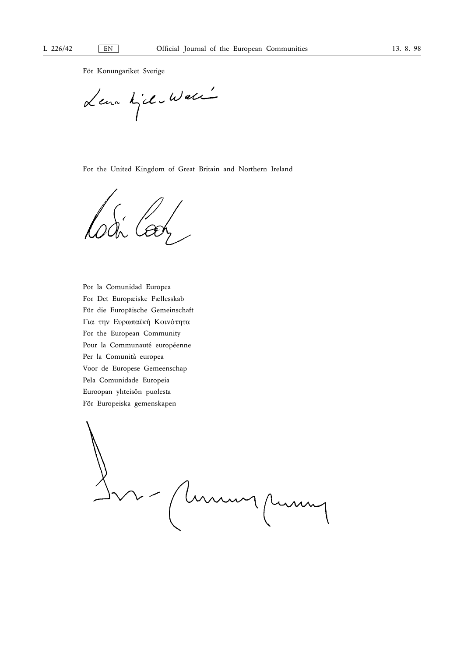För Konungariket Sverige

Leur Killewall

For the United Kingdom of Great Britain and Northern Ireland

Por la Comunidad Europea For Det Europæiske Fællesskab Für die Europäische Gemeinschaft Για την Ευρωπαϊκή Κοινότητα For the European Community Pour la Communauté européenne Per la Comunità europea Voor de Europese Gemeenschap Pela Comunidade Europeia Euroopan yhteisön puolesta För Europeiska gemenskapen

L - (human puma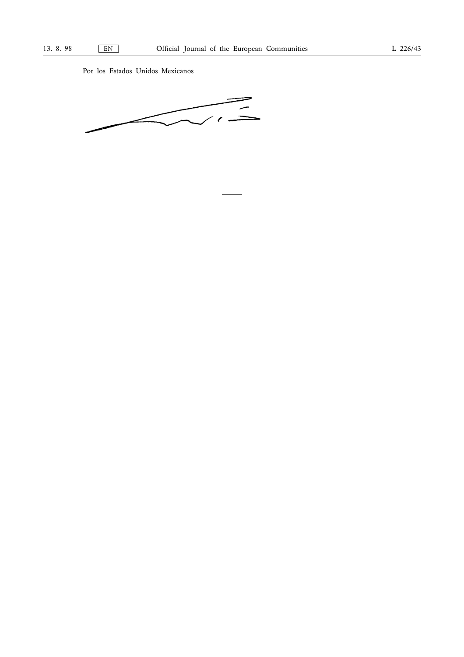Por los Estados Unidos Mexicanos

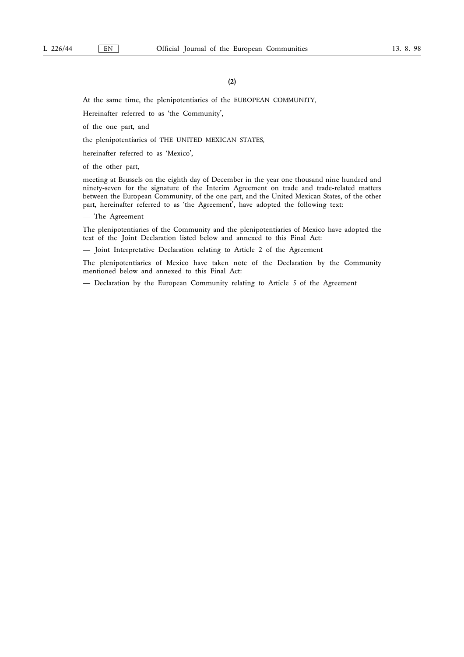At the same time, the plenipotentiaries of the EUROPEAN COMMUNITY,

Hereinafter referred to as 'the Community',

of the one part, and

the plenipotentiaries of THE UNITED MEXICAN STATES,

hereinafter referred to as 'Mexico',

of the other part,

meeting at Brussels on the eighth day of December in the year one thousand nine hundred and ninety-seven for the signature of the Interim Agreement on trade and trade-related matters between the European Community, of the one part, and the United Mexican States, of the other part, hereinafter referred to as 'the Agreement', have adopted the following text:

— The Agreement

The plenipotentiaries of the Community and the plenipotentiaries of Mexico have adopted the text of the Joint Declaration listed below and annexed to this Final Act:

— Joint Interpretative Declaration relating to Article 2 of the Agreement

The plenipotentiaries of Mexico have taken note of the Declaration by the Community mentioned below and annexed to this Final Act:

— Declaration by the European Community relating to Article 5 of the Agreement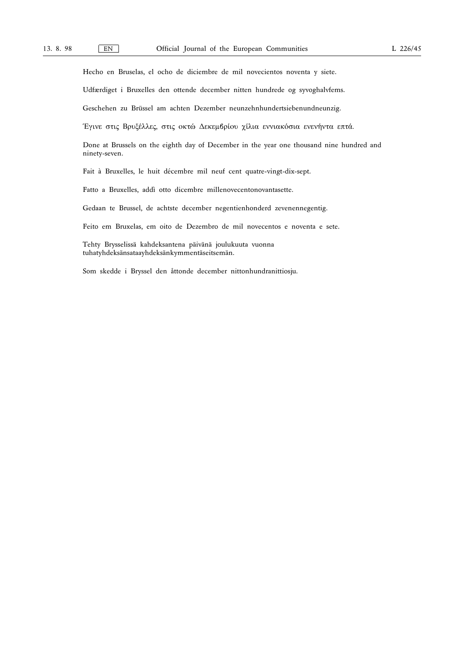Hecho en Bruselas, el ocho de diciembre de mil novecientos noventa y siete.

Udfærdiget i Bruxelles den ottende december nitten hundrede og syvoghalvfems.

Geschehen zu Brüssel am achten Dezember neunzehnhundertsiebenundneunzig.

Έγινε στις Βρυξέλλες, στις οκτώ Δεκεμβρίου χίλια εννιακόσια ενενήντα επτά.

Done at Brussels on the eighth day of December in the year one thousand nine hundred and ninety-seven.

Fait à Bruxelles, le huit décembre mil neuf cent quatre-vingt-dix-sept.

Fatto a Bruxelles, addì otto dicembre millenovecentonovantasette.

Gedaan te Brussel, de achtste december negentienhonderd zevenennegentig.

Feito em Bruxelas, em oito de Dezembro de mil novecentos e noventa e sete.

Tehty Brysselissä kahdeksantena päivänä joulukuuta vuonna tuhatyhdeksänsataayhdeksänkymmentäseitsemän.

Som skedde i Bryssel den åttonde december nittonhundranittiosju.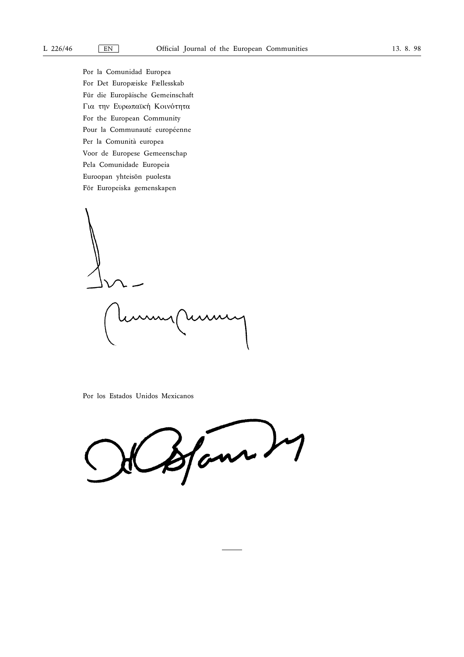Por la Comunidad Europea For Det Europæiske Fællesskab Für die Europäische Gemeinschaft Για την Ευρωπαϊκή Κοινότητα For the European Community Pour la Communauté européenne Per la Comunità europea Voor de Europese Gemeenschap Pela Comunidade Europeia Euroopan yhteisön puolesta För Europeiska gemenskapen

Por los Estados Unidos Mexicanos

Stan 27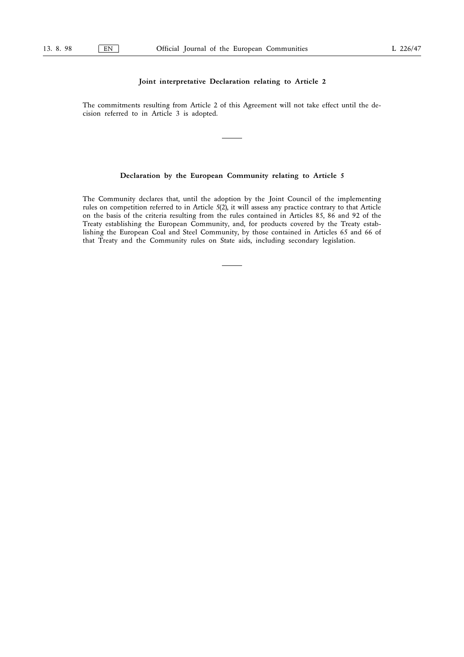# Joint interpretative Declaration relating to Article 2

The commitments resulting from Article 2 of this Agreement will not take effect until the decision referred to in Article 3 is adopted.

# Declaration by the European Community relating to Article 5

The Community declares that, until the adoption by the Joint Council of the implementing rules on competition referred to in Article 5(2), it will assess any practice contrary to that Article on the basis of the criteria resulting from the rules contained in Articles 85, 86 and 92 of the Treaty establishing the European Community, and, for products covered by the Treaty establishing the European Coal and Steel Community, by those contained in Articles 65 and 66 of that Treaty and the Community rules on State aids, including secondary legislation.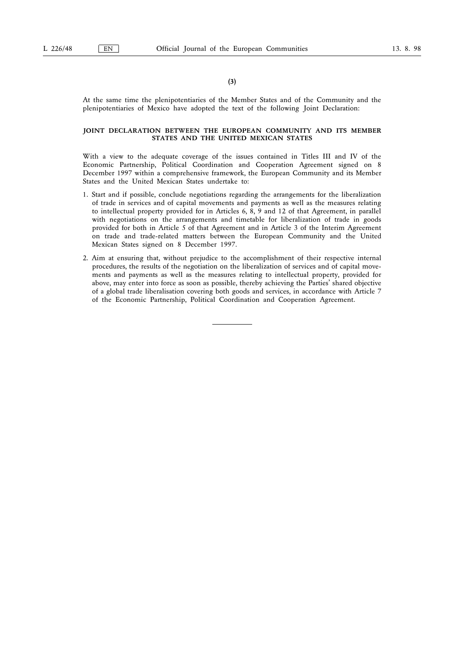(3)

At the same time the plenipotentiaries of the Member States and of the Community and the plenipotentiaries of Mexico have adopted the text of the following Joint Declaration:

### JOINT DECLARATION BETWEEN THE EUROPEAN COMMUNITY AND ITS MEMBER STATES AND THE UNITED MEXICAN STATES

With a view to the adequate coverage of the issues contained in Titles III and IV of the Economic Partnership, Political Coordination and Cooperation Agreement signed on 8 December 1997 within a comprehensive framework, the European Community and its Member States and the United Mexican States undertake to:

- 1. Start and if possible, conclude negotiations regarding the arrangements for the liberalization of trade in services and of capital movements and payments as well as the measures relating to intellectual property provided for in Articles 6, 8, 9 and 12 of that Agreement, in parallel with negotiations on the arrangements and timetable for liberalization of trade in goods provided for both in Article 5 of that Agreement and in Article 3 of the Interim Agreement on trade and trade-related matters between the European Community and the United Mexican States signed on 8 December 1997.
- 2. Aim at ensuring that, without prejudice to the accomplishment of their respective internal procedures, the results of the negotiation on the liberalization of services and of capital movements and payments as well as the measures relating to intellectual property, provided for above, may enter into force as soon as possible, thereby achieving the Parties' shared objective of a global trade liberalisation covering both goods and services, in accordance with Article 7 of the Economic Partnership, Political Coordination and Cooperation Agreement.